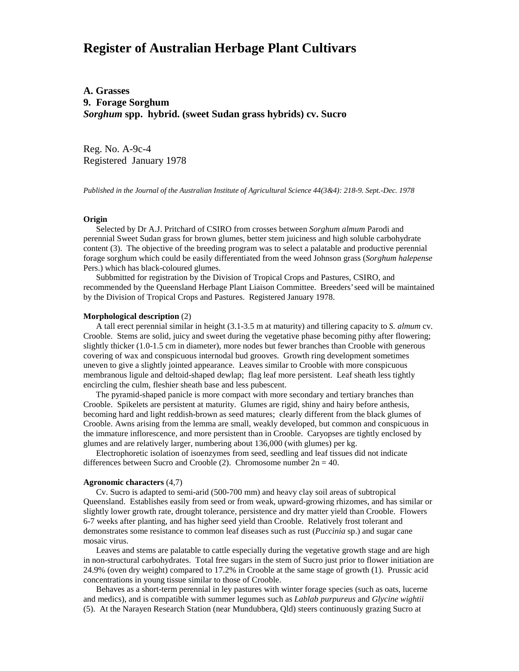# **Register of Australian Herbage Plant Cultivars**

## **A. Grasses 9. Forage Sorghum** *Sorghum* **spp. hybrid. (sweet Sudan grass hybrids) cv. Sucro**

Reg. No. A-9c-4 Registered January 1978

*Published in the Journal of the Australian Institute of Agricultural Science 44(3&4): 218-9. Sept.-Dec. 1978*

### **Origin**

 Selected by Dr A.J. Pritchard of CSIRO from crosses between *Sorghum almum* Parodi and perennial Sweet Sudan grass for brown glumes, better stem juiciness and high soluble carbohydrate content (3). The objective of the breeding program was to select a palatable and productive perennial forage sorghum which could be easily differentiated from the weed Johnson grass (*Sorghum halepense* Pers.) which has black-coloured glumes.

 Subbmitted for registration by the Division of Tropical Crops and Pastures, CSIRO, and recommended by the Queensland Herbage Plant Liaison Committee. Breeders' seed will be maintained by the Division of Tropical Crops and Pastures. Registered January 1978.

#### **Morphological description** (2)

 A tall erect perennial similar in height (3.1-3.5 m at maturity) and tillering capacity to *S. almum* cv. Crooble. Stems are solid, juicy and sweet during the vegetative phase becoming pithy after flowering; slightly thicker (1.0-1.5 cm in diameter), more nodes but fewer branches than Crooble with generous covering of wax and conspicuous internodal bud grooves. Growth ring development sometimes uneven to give a slightly jointed appearance. Leaves similar to Crooble with more conspicuous membranous ligule and deltoid-shaped dewlap; flag leaf more persistent. Leaf sheath less tightly encircling the culm, fleshier sheath base and less pubescent.

 The pyramid-shaped panicle is more compact with more secondary and tertiary branches than Crooble. Spikelets are persistent at maturity. Glumes are rigid, shiny and hairy before anthesis, becoming hard and light reddish-brown as seed matures; clearly different from the black glumes of Crooble. Awns arising from the lemma are small, weakly developed, but common and conspicuous in the immature inflorescence, and more persistent than in Crooble. Caryopses are tightly enclosed by glumes and are relatively larger, numbering about 136,000 (with glumes) per kg.

 Electrophoretic isolation of isoenzymes from seed, seedling and leaf tissues did not indicate differences between Sucro and Crooble (2). Chromosome number  $2n = 40$ .

#### **Agronomic characters** (4,7)

 Cv. Sucro is adapted to semi-arid (500-700 mm) and heavy clay soil areas of subtropical Queensland. Establishes easily from seed or from weak, upward-growing rhizomes, and has similar or slightly lower growth rate, drought tolerance, persistence and dry matter yield than Crooble. Flowers 6-7 weeks after planting, and has higher seed yield than Crooble. Relatively frost tolerant and demonstrates some resistance to common leaf diseases such as rust (*Puccinia* sp.) and sugar cane mosaic virus.

 Leaves and stems are palatable to cattle especially during the vegetative growth stage and are high in non-structural carbohydrates. Total free sugars in the stem of Sucro just prior to flower initiation are 24.9% (oven dry weight) compared to 17.2% in Crooble at the same stage of growth (1). Prussic acid concentrations in young tissue similar to those of Crooble.

 Behaves as a short-term perennial in ley pastures with winter forage species (such as oats, lucerne and medics), and is compatible with summer legumes such as *Lablab purpureus* and *Glycine wightii* (5). At the Narayen Research Station (near Mundubbera, Qld) steers continuously grazing Sucro at